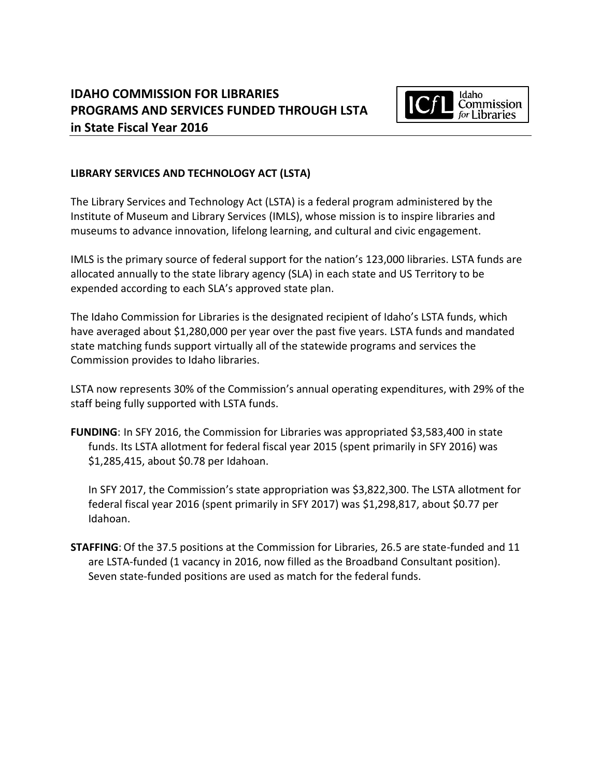

## **LIBRARY SERVICES AND TECHNOLOGY ACT (LSTA)**

The Library Services and Technology Act (LSTA) is a federal program administered by the Institute of Museum and Library Services (IMLS), whose mission is to inspire libraries and museums to advance innovation, lifelong learning, and cultural and civic engagement.

IMLS is the primary source of federal support for the nation's 123,000 libraries. LSTA funds are allocated annually to the state library agency (SLA) in each state and US Territory to be expended according to each SLA's approved state plan.

The Idaho Commission for Libraries is the designated recipient of Idaho's LSTA funds, which have averaged about \$1,280,000 per year over the past five years. LSTA funds and mandated state matching funds support virtually all of the statewide programs and services the Commission provides to Idaho libraries.

LSTA now represents 30% of the Commission's annual operating expenditures, with 29% of the staff being fully supported with LSTA funds.

**FUNDING**: In SFY 2016, the Commission for Libraries was appropriated \$3,583,400 in state funds. Its LSTA allotment for federal fiscal year 2015 (spent primarily in SFY 2016) was \$1,285,415, about \$0.78 per Idahoan.

In SFY 2017, the Commission's state appropriation was \$3,822,300. The LSTA allotment for federal fiscal year 2016 (spent primarily in SFY 2017) was \$1,298,817, about \$0.77 per Idahoan.

**STAFFING**: Of the 37.5 positions at the Commission for Libraries, 26.5 are state-funded and 11 are LSTA-funded (1 vacancy in 2016, now filled as the Broadband Consultant position). Seven state-funded positions are used as match for the federal funds.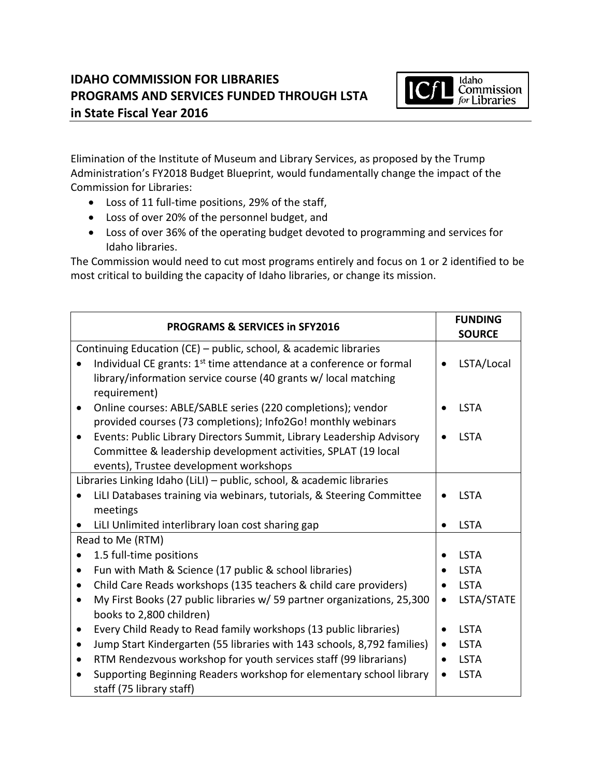

Elimination of the Institute of Museum and Library Services, as proposed by the Trump Administration's FY2018 Budget Blueprint, would fundamentally change the impact of the Commission for Libraries:

- Loss of 11 full-time positions, 29% of the staff,
- Loss of over 20% of the personnel budget, and
- Loss of over 36% of the operating budget devoted to programming and services for Idaho libraries.

The Commission would need to cut most programs entirely and focus on 1 or 2 identified to be most critical to building the capacity of Idaho libraries, or change its mission.

| <b>PROGRAMS &amp; SERVICES in SFY2016</b>                                            | <b>FUNDING</b><br><b>SOURCE</b> |  |
|--------------------------------------------------------------------------------------|---------------------------------|--|
| Continuing Education (CE) - public, school, & academic libraries                     |                                 |  |
| Individual CE grants: 1 <sup>st</sup> time attendance at a conference or formal      | LSTA/Local                      |  |
| library/information service course (40 grants w/ local matching                      |                                 |  |
| requirement)                                                                         |                                 |  |
| Online courses: ABLE/SABLE series (220 completions); vendor<br>$\bullet$             | <b>LSTA</b>                     |  |
| provided courses (73 completions); Info2Go! monthly webinars                         |                                 |  |
| Events: Public Library Directors Summit, Library Leadership Advisory<br>$\bullet$    | <b>LSTA</b>                     |  |
| Committee & leadership development activities, SPLAT (19 local                       |                                 |  |
| events), Trustee development workshops                                               |                                 |  |
| Libraries Linking Idaho (LiLI) - public, school, & academic libraries                |                                 |  |
| LiLI Databases training via webinars, tutorials, & Steering Committee                | <b>LSTA</b>                     |  |
| meetings                                                                             |                                 |  |
| LiLI Unlimited interlibrary loan cost sharing gap                                    | <b>LSTA</b>                     |  |
| Read to Me (RTM)                                                                     |                                 |  |
| 1.5 full-time positions<br>$\bullet$                                                 | <b>LSTA</b>                     |  |
| Fun with Math & Science (17 public & school libraries)<br>$\bullet$                  | <b>LSTA</b>                     |  |
| Child Care Reads workshops (135 teachers & child care providers)<br>٠                | <b>LSTA</b>                     |  |
| My First Books (27 public libraries w/ 59 partner organizations, 25,300<br>$\bullet$ | LSTA/STATE                      |  |
| books to 2,800 children)                                                             |                                 |  |
| Every Child Ready to Read family workshops (13 public libraries)<br>$\bullet$        | <b>LSTA</b>                     |  |
| Jump Start Kindergarten (55 libraries with 143 schools, 8,792 families)<br>٠         | <b>LSTA</b><br>$\bullet$        |  |
| RTM Rendezvous workshop for youth services staff (99 librarians)<br>$\bullet$        | <b>LSTA</b>                     |  |
| Supporting Beginning Readers workshop for elementary school library                  | <b>LSTA</b>                     |  |
| staff (75 library staff)                                                             |                                 |  |